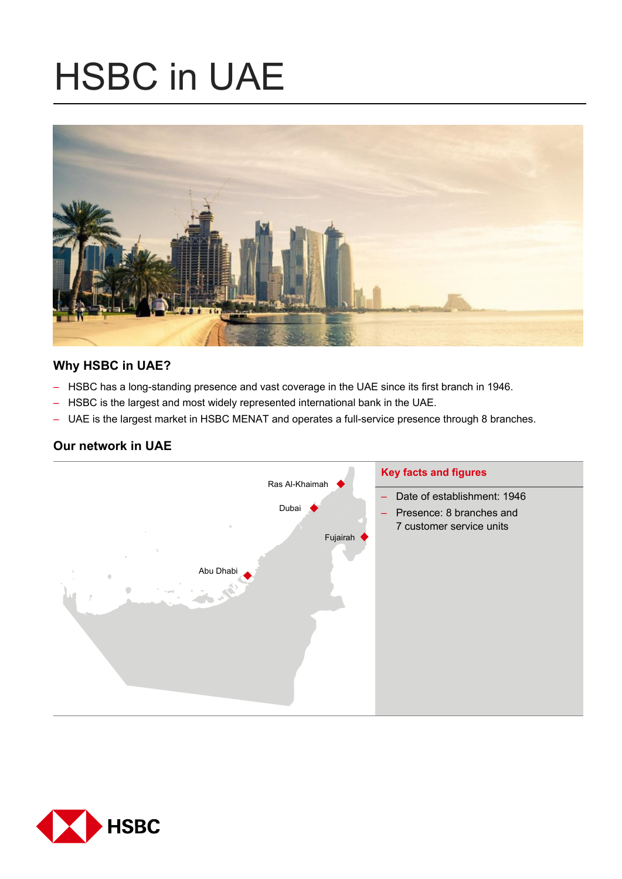# HSBC in UAE



# **Why HSBC in UAE?**

- HSBC has a long-standing presence and vast coverage in the UAE since its first branch in 1946.
- HSBC is the largest and most widely represented international bank in the UAE.
- UAE is the largest market in HSBC MENAT and operates a full-service presence through 8 branches.

# **Our network in UAE**